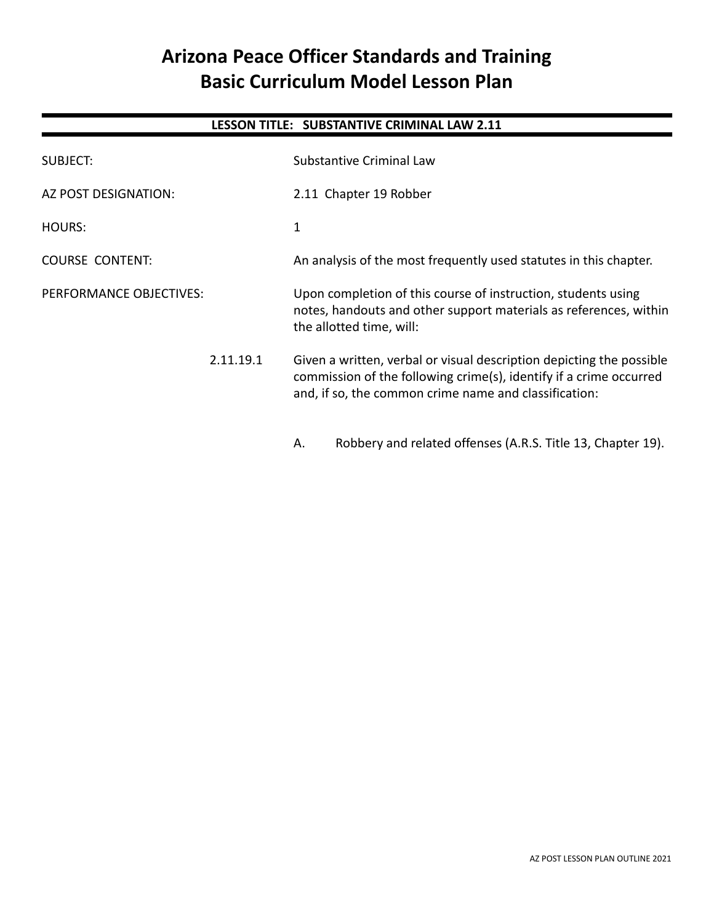# **Arizona Peace Officer Standards and Training Basic Curriculum Model Lesson Plan**

# **LESSON TITLE: SUBSTANTIVE CRIMINAL LAW 2.11**

| SUBJECT:                | <b>Substantive Criminal Law</b>                                                                                                                                                                     |
|-------------------------|-----------------------------------------------------------------------------------------------------------------------------------------------------------------------------------------------------|
| AZ POST DESIGNATION:    | 2.11 Chapter 19 Robber                                                                                                                                                                              |
| <b>HOURS:</b>           | 1                                                                                                                                                                                                   |
| <b>COURSE CONTENT:</b>  | An analysis of the most frequently used statutes in this chapter.                                                                                                                                   |
| PERFORMANCE OBJECTIVES: | Upon completion of this course of instruction, students using<br>notes, handouts and other support materials as references, within<br>the allotted time, will:                                      |
| 2.11.19.1               | Given a written, verbal or visual description depicting the possible<br>commission of the following crime(s), identify if a crime occurred<br>and, if so, the common crime name and classification: |
|                         | Robbery and related offenses (A.R.S. Title 13, Chapter 19).<br>А.                                                                                                                                   |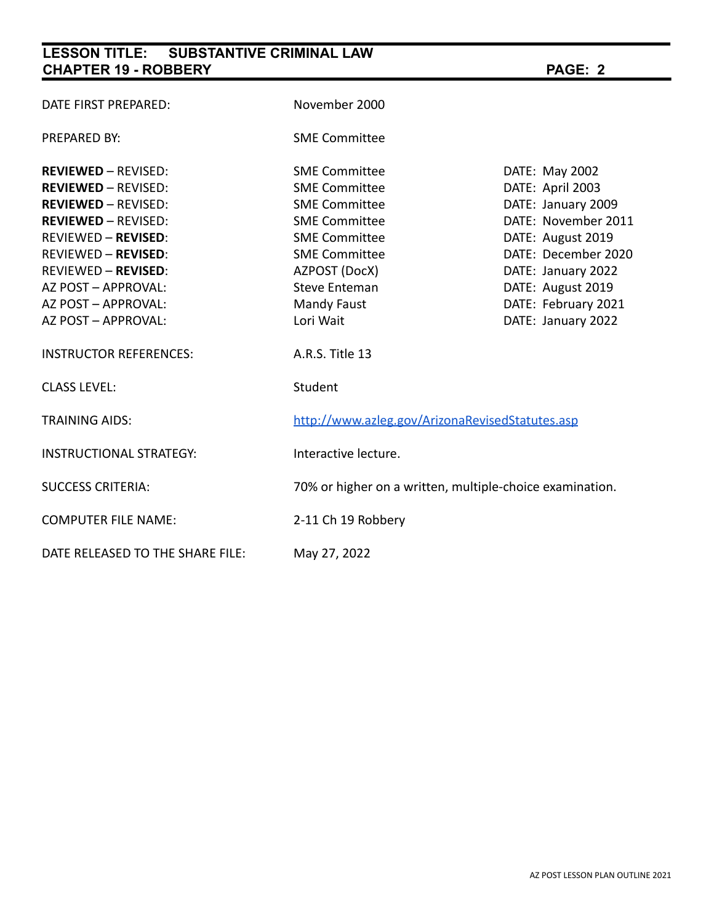# **LESSON TITLE: SUBSTANTIVE CRIMINAL LAW CHAPTER 19 - ROBBERY PAGE: 2**

# DATE FIRST PREPARED: November 2000 PREPARED BY: SME Committee **REVIEWED** – REVISED: SME Committee DATE: May 2002 **REVIEWED** – REVISED: SME Committee DATE: April 2003 **REVIEWED** – REVISED: SME Committee DATE: January 2009 **REVIEWED** – REVISED: SME Committee **DATE: November 2011** REVIEWED – **REVISED**: SME Committee The SME Committee DATE: August 2019 REVIEWED – **REVISED**: SME Committee **DATE: December 2020** REVIEWED – **REVISED**: AZPOST (DocX) DATE: January 2022 AZ POST – APPROVAL: Steve Enteman DATE: August 2019 AZ POST – APPROVAL: Mandy Faust DATE: February 2021 AZ POST – APPROVAL: Lori Wait Lori Maint DATE: January 2022 INSTRUCTOR REFERENCES: A.R.S. Title 13 CLASS LEVEL: Student TRAINING AIDS: <http://www.azleg.gov/ArizonaRevisedStatutes.asp> INSTRUCTIONAL STRATEGY: Interactive lecture. SUCCESS CRITERIA: 70% or higher on a written, multiple-choice examination. COMPUTER FILE NAME: 2-11 Ch 19 Robbery DATE RELEASED TO THE SHARE FILE: May 27, 2022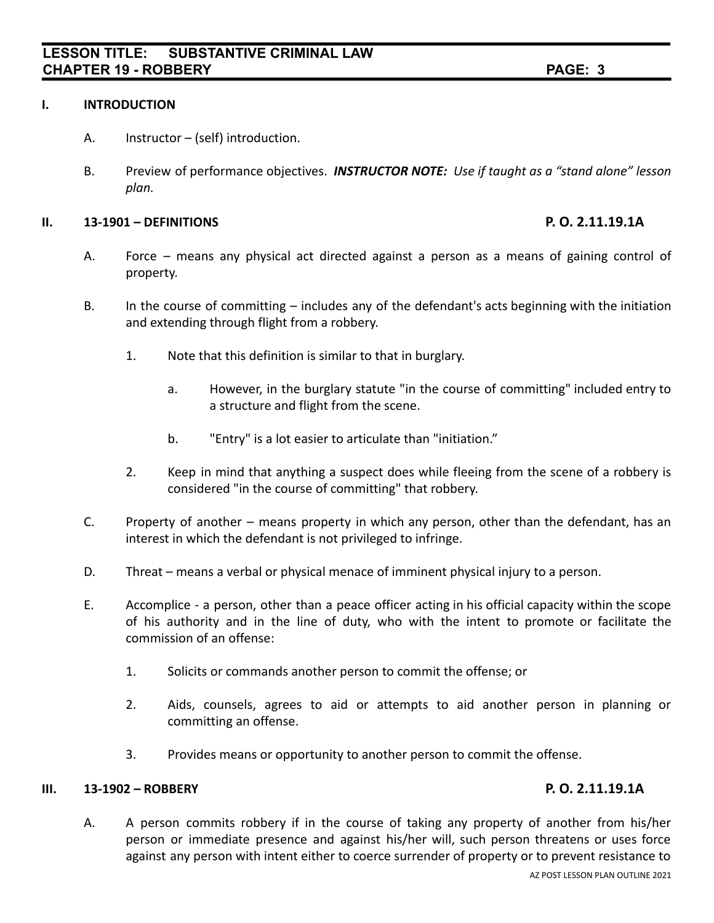### **I. INTRODUCTION**

- A. Instructor (self) introduction.
- B. Preview of performance objectives. *INSTRUCTOR NOTE: Use if taught as a "stand alone" lesson plan.*

### **II. 13-1901 – DEFINITIONS P. O. 2.11.19.1A**

- A. Force means any physical act directed against a person as a means of gaining control of property.
- B. In the course of committing includes any of the defendant's acts beginning with the initiation and extending through flight from a robbery.
	- 1. Note that this definition is similar to that in burglary.
		- a. However, in the burglary statute "in the course of committing" included entry to a structure and flight from the scene.
		- b. "Entry" is a lot easier to articulate than "initiation."
	- 2. Keep in mind that anything a suspect does while fleeing from the scene of a robbery is considered "in the course of committing" that robbery.
- C. Property of another means property in which any person, other than the defendant, has an interest in which the defendant is not privileged to infringe.
- D. Threat means a verbal or physical menace of imminent physical injury to a person.
- E. Accomplice a person, other than a peace officer acting in his official capacity within the scope of his authority and in the line of duty, who with the intent to promote or facilitate the commission of an offense:
	- 1. Solicits or commands another person to commit the offense; or
	- 2. Aids, counsels, agrees to aid or attempts to aid another person in planning or committing an offense.
	- 3. Provides means or opportunity to another person to commit the offense.

## **III. 13-1902 – ROBBERY P. O. 2.11.19.1A**

A. A person commits robbery if in the course of taking any property of another from his/her person or immediate presence and against his/her will, such person threatens or uses force against any person with intent either to coerce surrender of property or to prevent resistance to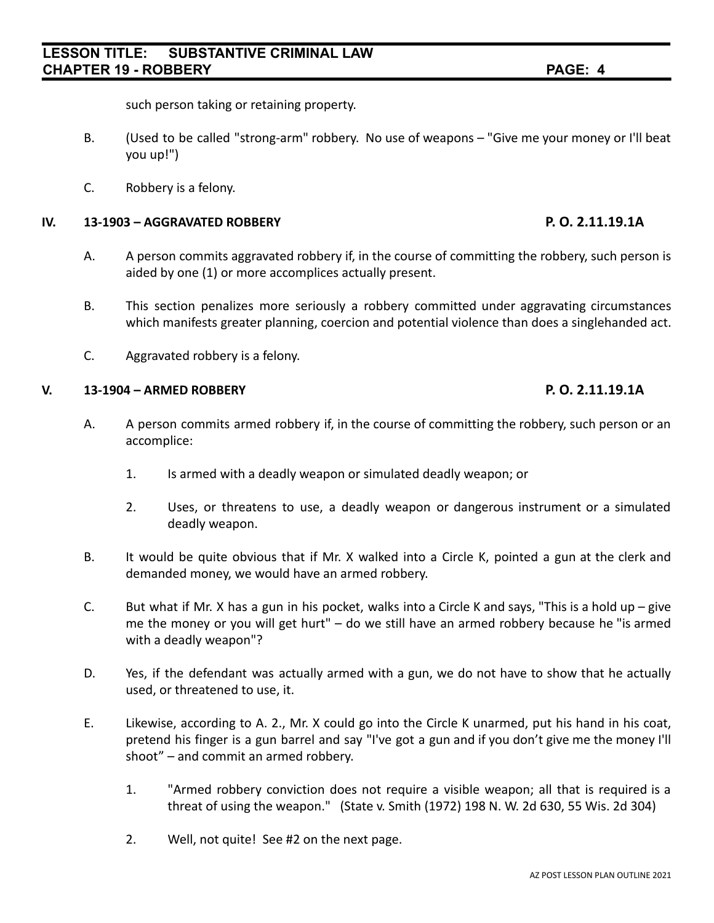# **LESSON TITLE: SUBSTANTIVE CRIMINAL LAW CHAPTER 19 - ROBBERY PAGE: 4**

such person taking or retaining property.

- B. (Used to be called "strong-arm" robbery. No use of weapons "Give me your money or I'll beat you up!")
- C. Robbery is a felony.

## **IV. 13-1903 – AGGRAVATED ROBBERY P. O. 2.11.19.1A**

- A. A person commits aggravated robbery if, in the course of committing the robbery, such person is aided by one (1) or more accomplices actually present.
- B. This section penalizes more seriously a robbery committed under aggravating circumstances which manifests greater planning, coercion and potential violence than does a singlehanded act.
- C. Aggravated robbery is a felony.

### **V. 13-1904 – ARMED ROBBERY P. O. 2.11.19.1A**

- A. A person commits armed robbery if, in the course of committing the robbery, such person or an accomplice:
	- 1. Is armed with a deadly weapon or simulated deadly weapon; or
	- 2. Uses, or threatens to use, a deadly weapon or dangerous instrument or a simulated deadly weapon.
- B. It would be quite obvious that if Mr. X walked into a Circle K, pointed a gun at the clerk and demanded money, we would have an armed robbery.
- C. But what if Mr. X has a gun in his pocket, walks into a Circle K and says, "This is a hold up give me the money or you will get hurt" – do we still have an armed robbery because he "is armed with a deadly weapon"?
- D. Yes, if the defendant was actually armed with a gun, we do not have to show that he actually used, or threatened to use, it.
- E. Likewise, according to A. 2., Mr. X could go into the Circle K unarmed, put his hand in his coat, pretend his finger is a gun barrel and say "I've got a gun and if you don't give me the money I'll shoot" – and commit an armed robbery.
	- 1. "Armed robbery conviction does not require a visible weapon; all that is required is a threat of using the weapon." (State v. Smith (1972) 198 N. W. 2d 630, 55 Wis. 2d 304)
	- 2. Well, not quite! See #2 on the next page.